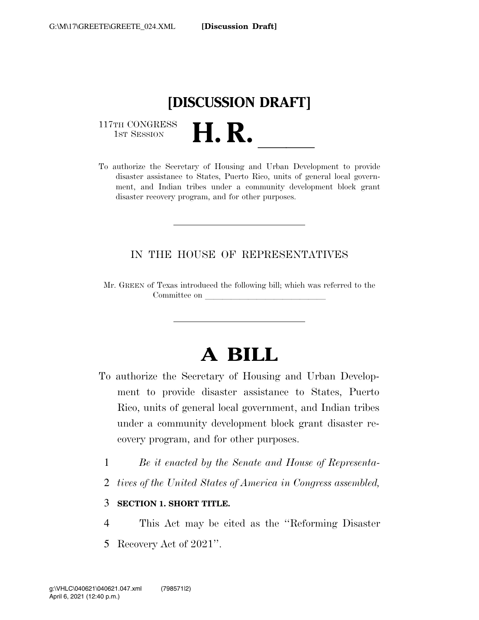

117TH CONGRESS<br>1st Session

117TH CONGRESS<br>1st SESSION<br>To authorize the Secretary of Housing and Urban Development to provide disaster assistance to States, Puerto Rico, units of general local government, and Indian tribes under a community development block grant disaster recovery program, and for other purposes.

### IN THE HOUSE OF REPRESENTATIVES

Mr. GREEN of Texas introduced the following bill; which was referred to the Committee on

# **A BILL**

- To authorize the Secretary of Housing and Urban Development to provide disaster assistance to States, Puerto Rico, units of general local government, and Indian tribes under a community development block grant disaster recovery program, and for other purposes.
	- 1 *Be it enacted by the Senate and House of Representa-*
	- 2 *tives of the United States of America in Congress assembled,*

### 3 **SECTION 1. SHORT TITLE.**

4 This Act may be cited as the ''Reforming Disaster 5 Recovery Act of 2021''.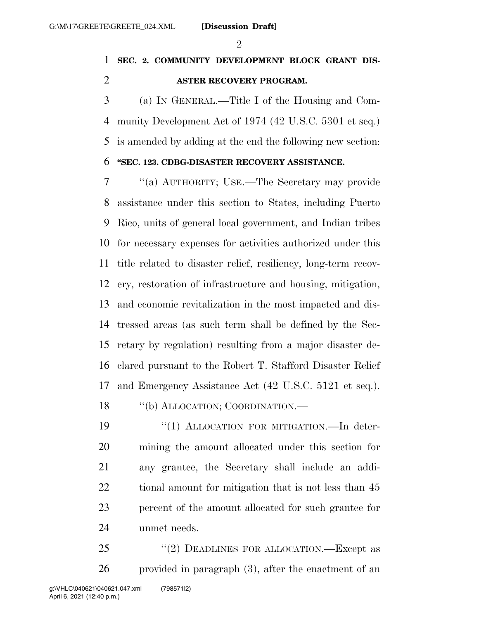$\mathfrak{D}$ 

## **SEC. 2. COMMUNITY DEVELOPMENT BLOCK GRANT DIS-ASTER RECOVERY PROGRAM.**

 (a) IN GENERAL.—Title I of the Housing and Com- munity Development Act of 1974 (42 U.S.C. 5301 et seq.) is amended by adding at the end the following new section:

### **''SEC. 123. CDBG-DISASTER RECOVERY ASSISTANCE.**

 ''(a) AUTHORITY; USE.—The Secretary may provide assistance under this section to States, including Puerto Rico, units of general local government, and Indian tribes for necessary expenses for activities authorized under this title related to disaster relief, resiliency, long-term recov- ery, restoration of infrastructure and housing, mitigation, and economic revitalization in the most impacted and dis- tressed areas (as such term shall be defined by the Sec- retary by regulation) resulting from a major disaster de- clared pursuant to the Robert T. Stafford Disaster Relief and Emergency Assistance Act (42 U.S.C. 5121 et seq.).

''(b) ALLOCATION; COORDINATION.—

19 "(1) ALLOCATION FOR MITIGATION.—In deter- mining the amount allocated under this section for any grantee, the Secretary shall include an addi-22 tional amount for mitigation that is not less than 45 percent of the amount allocated for such grantee for unmet needs.

25 "(2) DEADLINES FOR ALLOCATION.—Except as provided in paragraph (3), after the enactment of an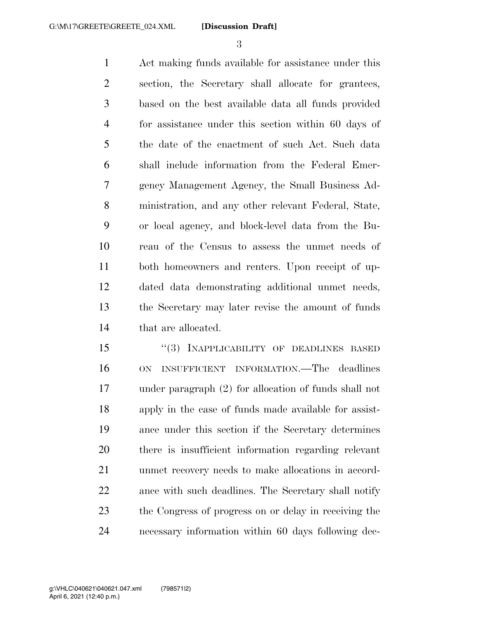Act making funds available for assistance under this section, the Secretary shall allocate for grantees, based on the best available data all funds provided for assistance under this section within 60 days of the date of the enactment of such Act. Such data shall include information from the Federal Emer- gency Management Agency, the Small Business Ad- ministration, and any other relevant Federal, State, or local agency, and block-level data from the Bu- reau of the Census to assess the unmet needs of both homeowners and renters. Upon receipt of up- dated data demonstrating additional unmet needs, the Secretary may later revise the amount of funds that are allocated.

15 "(3) INAPPLICABILITY OF DEADLINES BASED ON INSUFFICIENT INFORMATION.—The deadlines under paragraph (2) for allocation of funds shall not apply in the case of funds made available for assist- ance under this section if the Secretary determines there is insufficient information regarding relevant unmet recovery needs to make allocations in accord- ance with such deadlines. The Secretary shall notify the Congress of progress on or delay in receiving the necessary information within 60 days following dec-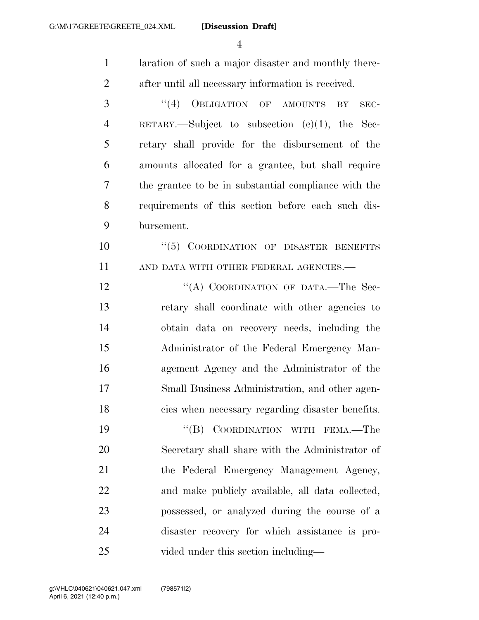| $\mathbf{1}$   | laration of such a major disaster and monthly there- |
|----------------|------------------------------------------------------|
| $\overline{2}$ | after until all necessary information is received.   |
| 3              | (4)<br>OBLIGATION OF AMOUNTS<br>BY<br>SEC-           |
| $\overline{4}$ | RETARY.—Subject to subsection $(c)(1)$ , the Sec-    |
| 5              | retary shall provide for the disbursement of the     |
| 6              | amounts allocated for a grantee, but shall require   |
| 7              | the grantee to be in substantial compliance with the |
| 8              | requirements of this section before each such dis-   |
| 9              | bursement.                                           |
| 10             | "(5) COORDINATION OF DISASTER BENEFITS               |
| 11             | AND DATA WITH OTHER FEDERAL AGENCIES.-               |
| 12             | "(A) COORDINATION OF DATA.-The Sec-                  |
| 13             | retary shall coordinate with other agencies to       |
| 14             | obtain data on recovery needs, including the         |
| 15             | Administrator of the Federal Emergency Man-          |
| 16             | agement Agency and the Administrator of the          |
| 17             | Small Business Administration, and other agen-       |
| 18             | cies when necessary regarding disaster benefits.     |
| 19             | "(B) COORDINATION WITH FEMA.—The                     |
| 20             | Secretary shall share with the Administrator of      |
| 21             | the Federal Emergency Management Agency,             |
| 22             | and make publicly available, all data collected,     |
| 23             | possessed, or analyzed during the course of a        |
| 24             | disaster recovery for which assistance is pro-       |
| 25             | vided under this section including—                  |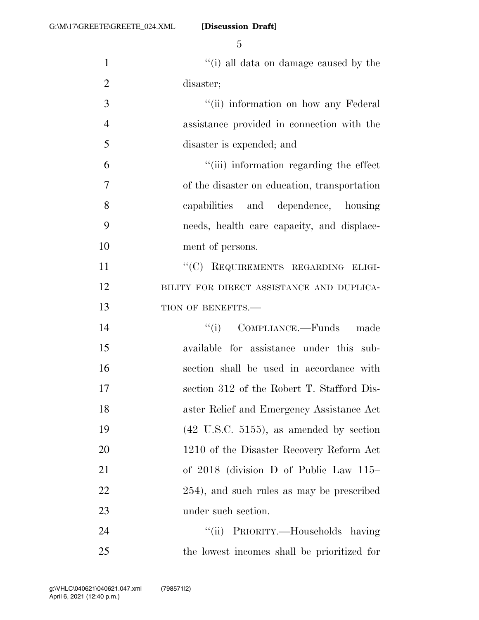1 ''(i) all data on damage caused by the disaster; 3 ''(ii) information on how any Federal assistance provided in connection with the disaster is expended; and ''(iii) information regarding the effect of the disaster on education, transportation capabilities and dependence, housing needs, health care capacity, and displace- ment of persons. 11 ""(C) REQUIREMENTS REGARDING ELIGI-12 BILITY FOR DIRECT ASSISTANCE AND DUPLICA-13 TION OF BENEFITS.— ''(i) COMPLIANCE.—Funds made available for assistance under this sub- section shall be used in accordance with section 312 of the Robert T. Stafford Dis- aster Relief and Emergency Assistance Act (42 U.S.C. 5155), as amended by section 20 1210 of the Disaster Recovery Reform Act of 2018 (division D of Public Law 115– 254), and such rules as may be prescribed under such section. 24 ''(ii) PRIORITY.—Households having

the lowest incomes shall be prioritized for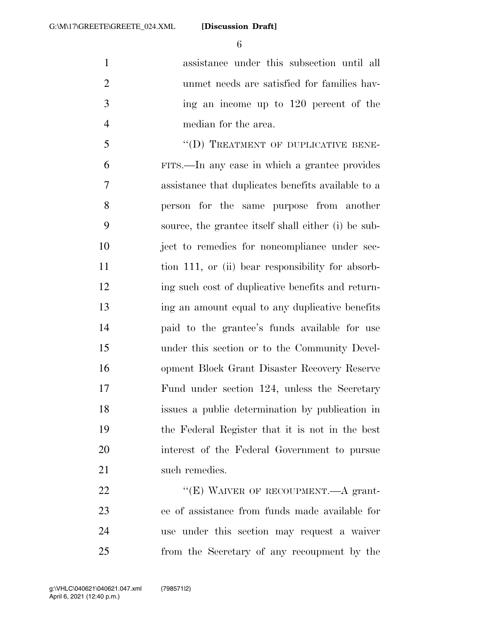assistance under this subsection until all unmet needs are satisfied for families hav- ing an income up to 120 percent of the median for the area.

5 "(D) TREATMENT OF DUPLICATIVE BENE- FITS.—In any case in which a grantee provides assistance that duplicates benefits available to a person for the same purpose from another source, the grantee itself shall either (i) be sub- ject to remedies for noncompliance under sec-11 tion 111, or (ii) bear responsibility for absorb- ing such cost of duplicative benefits and return- ing an amount equal to any duplicative benefits paid to the grantee's funds available for use under this section or to the Community Devel- opment Block Grant Disaster Recovery Reserve Fund under section 124, unless the Secretary issues a public determination by publication in the Federal Register that it is not in the best interest of the Federal Government to pursue 21 such remedies.

22 "'(E) WAIVER OF RECOUPMENT.—A grant- ee of assistance from funds made available for use under this section may request a waiver from the Secretary of any recoupment by the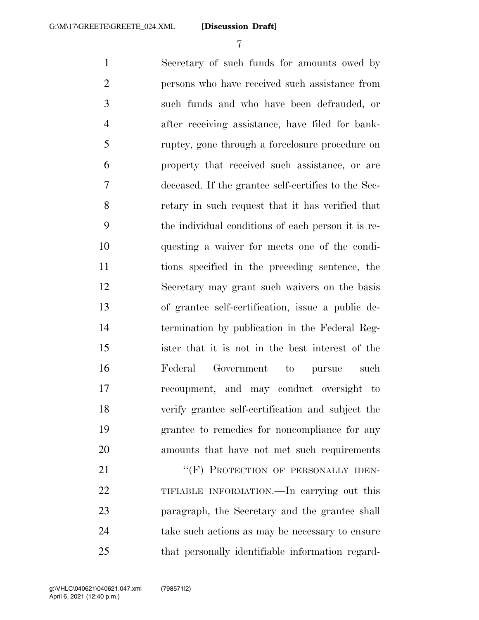Secretary of such funds for amounts owed by persons who have received such assistance from such funds and who have been defrauded, or after receiving assistance, have filed for bank- ruptcy, gone through a foreclosure procedure on property that received such assistance, or are deceased. If the grantee self-certifies to the Sec- retary in such request that it has verified that the individual conditions of each person it is re- questing a waiver for meets one of the condi- tions specified in the preceding sentence, the Secretary may grant such waivers on the basis of grantee self-certification, issue a public de- termination by publication in the Federal Reg- ister that it is not in the best interest of the Federal Government to pursue such recoupment, and may conduct oversight to verify grantee self-certification and subject the grantee to remedies for noncompliance for any amounts that have not met such requirements 21 ""(F) PROTECTION OF PERSONALLY IDEN- TIFIABLE INFORMATION.—In carrying out this paragraph, the Secretary and the grantee shall

take such actions as may be necessary to ensure

that personally identifiable information regard-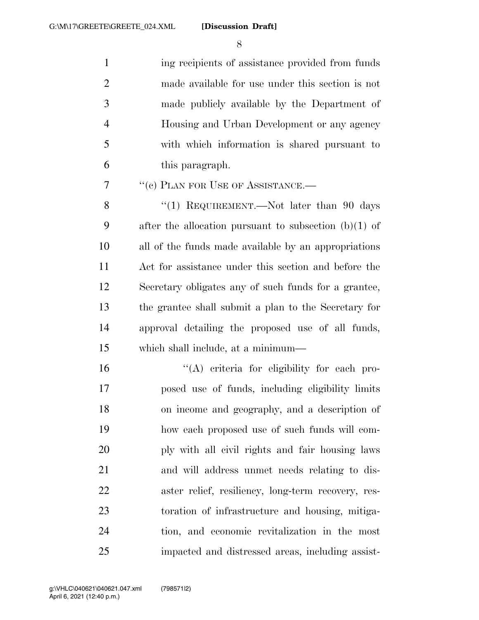1 ing recipients of assistance provided from funds made available for use under this section is not made publicly available by the Department of Housing and Urban Development or any agency with which information is shared pursuant to this paragraph.

7 <sup>"</sup>(c) PLAN FOR USE OF ASSISTANCE.—

8 "(1) REQUIREMENT.—Not later than 90 days after the allocation pursuant to subsection (b)(1) of all of the funds made available by an appropriations Act for assistance under this section and before the Secretary obligates any of such funds for a grantee, the grantee shall submit a plan to the Secretary for approval detailing the proposed use of all funds, which shall include, at a minimum—

 $(4)$  criteria for eligibility for each pro- posed use of funds, including eligibility limits on income and geography, and a description of how each proposed use of such funds will com- ply with all civil rights and fair housing laws and will address unmet needs relating to dis- aster relief, resiliency, long-term recovery, res- toration of infrastructure and housing, mitiga- tion, and economic revitalization in the most impacted and distressed areas, including assist-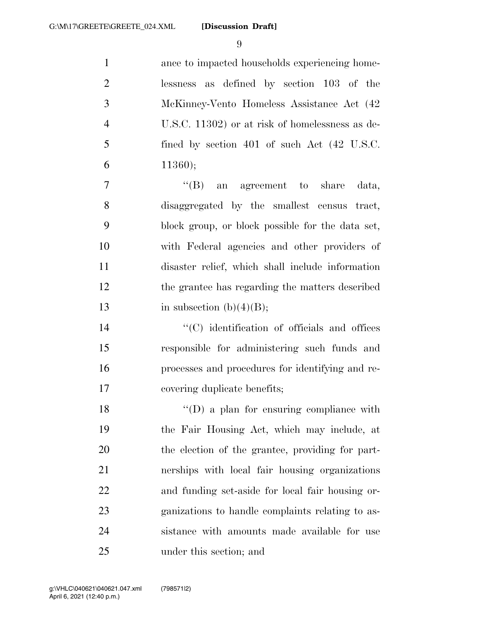ance to impacted households experiencing home- lessness as defined by section 103 of the McKinney-Vento Homeless Assistance Act (42 U.S.C. 11302) or at risk of homelessness as de- fined by section 401 of such Act (42 U.S.C. 6 ;

7 ''(B) an agreement to share data, disaggregated by the smallest census tract, block group, or block possible for the data set, with Federal agencies and other providers of disaster relief, which shall include information the grantee has regarding the matters described 13 in subsection  $(b)(4)(B)$ ;

 ''(C) identification of officials and offices responsible for administering such funds and processes and procedures for identifying and re-covering duplicate benefits;

18 ''(D) a plan for ensuring compliance with the Fair Housing Act, which may include, at the election of the grantee, providing for part- nerships with local fair housing organizations and funding set-aside for local fair housing or- ganizations to handle complaints relating to as- sistance with amounts made available for use under this section; and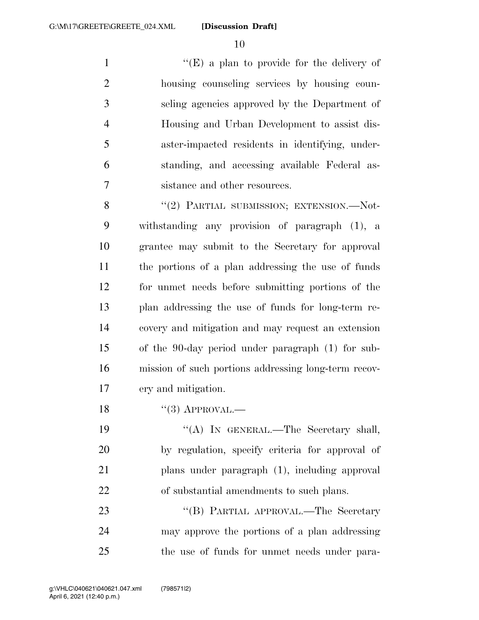''(E) a plan to provide for the delivery of housing counseling services by housing coun- seling agencies approved by the Department of Housing and Urban Development to assist dis- aster-impacted residents in identifying, under- standing, and accessing available Federal as-sistance and other resources.

8 "(2) PARTIAL SUBMISSION; EXTENSION.—Not- withstanding any provision of paragraph (1), a grantee may submit to the Secretary for approval the portions of a plan addressing the use of funds for unmet needs before submitting portions of the plan addressing the use of funds for long-term re- covery and mitigation and may request an extension of the 90-day period under paragraph (1) for sub- mission of such portions addressing long-term recov-ery and mitigation.

18 "(3) APPROVAL.—

19 "(A) IN GENERAL.—The Secretary shall, by regulation, specify criteria for approval of plans under paragraph (1), including approval of substantial amendments to such plans.

23 "'(B) PARTIAL APPROVAL.—The Secretary may approve the portions of a plan addressing the use of funds for unmet needs under para-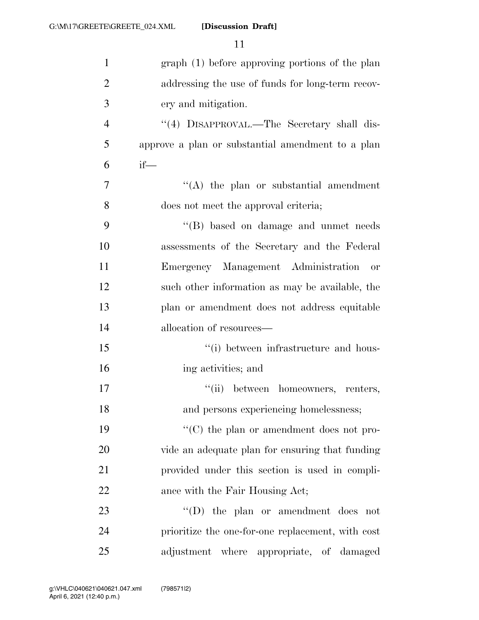| $\mathbf{1}$   | graph (1) before approving portions of the plan               |
|----------------|---------------------------------------------------------------|
| $\overline{2}$ | addressing the use of funds for long-term recov-              |
| 3              | ery and mitigation.                                           |
| $\overline{4}$ | "(4) DISAPPROVAL.—The Secretary shall dis-                    |
| 5              | approve a plan or substantial amendment to a plan             |
| 6              | $if$ —                                                        |
| $\overline{7}$ | $\lq\lq$ the plan or substantial amendment                    |
| 8              | does not meet the approval criteria;                          |
| 9              | "(B) based on damage and unmet needs                          |
| 10             | assessments of the Secretary and the Federal                  |
| 11             | Emergency Management Administration<br>or                     |
| 12             | such other information as may be available, the               |
| 13             | plan or amendment does not address equitable                  |
| 14             | allocation of resources—                                      |
| 15             | "(i) between infrastructure and hous-                         |
| 16             | ing activities; and                                           |
| 17             | "(ii) between homeowners, renters,                            |
| 18             | and persons experiencing homelessness;                        |
| 19             | $\lq\lq$ <sup>*</sup> (C) the plan or amendment does not pro- |
| 20             | vide an adequate plan for ensuring that funding               |
| 21             | provided under this section is used in compli-                |
| 22             | ance with the Fair Housing Act;                               |
| 23             | $\lq\lq$ (D) the plan or amendment does not                   |
| 24             | prioritize the one-for-one replacement, with cost             |
| 25             | adjustment where appropriate, of damaged                      |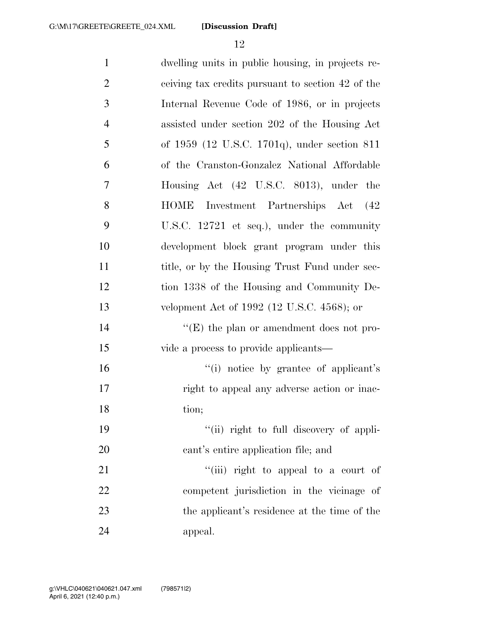| $\mathbf{1}$   | dwelling units in public housing, in projects re- |
|----------------|---------------------------------------------------|
| $\overline{2}$ | ceiving tax credits pursuant to section 42 of the |
| 3              | Internal Revenue Code of 1986, or in projects     |
| $\overline{4}$ | assisted under section 202 of the Housing Act     |
| 5              | of 1959 (12 U.S.C. 1701q), under section 811      |
| 6              | of the Cranston-Gonzalez National Affordable      |
| $\overline{7}$ | Housing Act (42 U.S.C. 8013), under the           |
| 8              | <b>HOME</b><br>Investment Partnerships Act (42)   |
| 9              | U.S.C. 12721 et seq.), under the community        |
| 10             | development block grant program under this        |
| 11             | title, or by the Housing Trust Fund under sec-    |
| 12             | tion 1338 of the Housing and Community De-        |
| 13             | velopment Act of 1992 (12 U.S.C. 4568); or        |
| 14             | " $(E)$ the plan or amendment does not pro-       |
| 15             | vide a process to provide applicants—             |
| 16             | "(i) notice by grantee of applicant's             |
| 17             | right to appeal any adverse action or inac-       |
| 18             | tion;                                             |
| 19             | "(ii) right to full discovery of appli-           |
| 20             | cant's entire application file; and               |
| 21             | "(iii) right to appeal to a court of              |
| 22             | competent jurisdiction in the vicinage of         |
| 23             | the applicant's residence at the time of the      |
| 24             | appeal.                                           |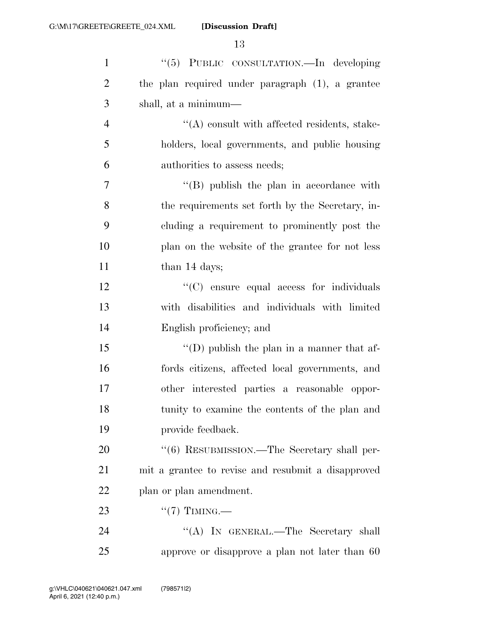| $\mathbf{1}$   | "(5) PUBLIC CONSULTATION.—In developing            |
|----------------|----------------------------------------------------|
| $\overline{2}$ | the plan required under paragraph (1), a grantee   |
| 3              | shall, at a minimum—                               |
| $\overline{4}$ | $\lq\lq$ consult with affected residents, stake-   |
| 5              | holders, local governments, and public housing     |
| 6              | authorities to assess needs;                       |
| 7              | $\lq\lq$ (B) publish the plan in accordance with   |
| 8              | the requirements set forth by the Secretary, in-   |
| 9              | cluding a requirement to prominently post the      |
| 10             | plan on the website of the grantee for not less    |
| 11             | than 14 days;                                      |
| 12             | "(C) ensure equal access for individuals           |
| 13             | with disabilities and individuals with limited     |
| 14             | English proficiency; and                           |
| 15             | "(D) publish the plan in a manner that af-         |
| 16             | fords citizens, affected local governments, and    |
| 17             | other interested parties a reasonable oppor-       |
| 18             | tunity to examine the contents of the plan and     |
| 19             | provide feedback.                                  |
| 20             | "(6) RESUBMISSION.—The Secretary shall per-        |
| 21             | mit a grantee to revise and resubmit a disapproved |
| 22             | plan or plan amendment.                            |
| 23             | $``(7)$ TIMING.—                                   |
| 24             | "(A) IN GENERAL.—The Secretary shall               |
| 25             | approve or disapprove a plan not later than 60     |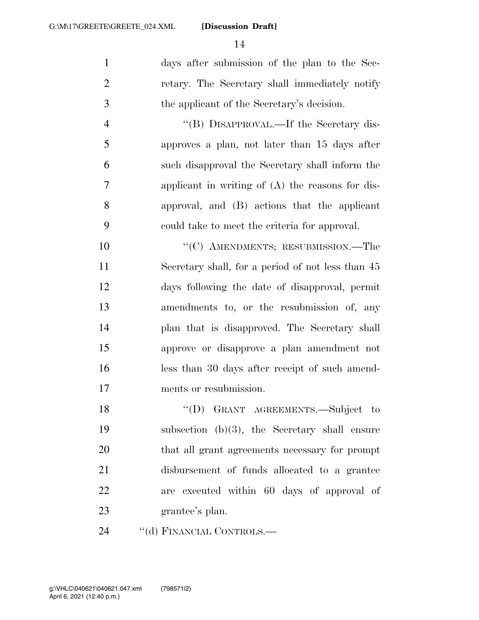days after submission of the plan to the Sec- retary. The Secretary shall immediately notify the applicant of the Secretary's decision.

 ''(B) DISAPPROVAL.—If the Secretary dis- approves a plan, not later than 15 days after such disapproval the Secretary shall inform the applicant in writing of (A) the reasons for dis- approval, and (B) actions that the applicant could take to meet the criteria for approval.

10 "'(C) AMENDMENTS; RESUBMISSION.—The Secretary shall, for a period of not less than 45 days following the date of disapproval, permit amendments to, or the resubmission of, any plan that is disapproved. The Secretary shall approve or disapprove a plan amendment not less than 30 days after receipt of such amend-ments or resubmission.

18 "(D) GRANT AGREEMENTS.—Subject to subsection (b)(3), the Secretary shall ensure that all grant agreements necessary for prompt disbursement of funds allocated to a grantee are executed within 60 days of approval of grantee's plan.

24 "(d) FINANCIAL CONTROLS.—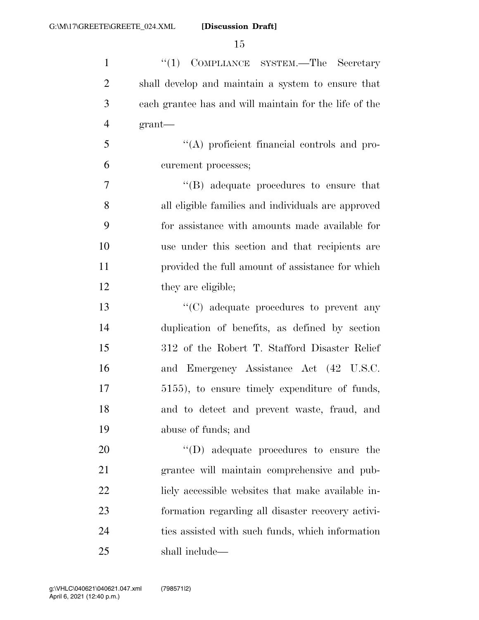1 ''(1) COMPLIANCE SYSTEM.—The Secretary shall develop and maintain a system to ensure that each grantee has and will maintain for the life of the grant— ''(A) proficient financial controls and pro- curement processes; ''(B) adequate procedures to ensure that all eligible families and individuals are approved for assistance with amounts made available for use under this section and that recipients are provided the full amount of assistance for which 12 they are eligible;  $\cdot$  (C) adequate procedures to prevent any duplication of benefits, as defined by section 312 of the Robert T. Stafford Disaster Relief and Emergency Assistance Act (42 U.S.C. 5155), to ensure timely expenditure of funds, and to detect and prevent waste, fraud, and abuse of funds; and  $\text{``(D)}$  adequate procedures to ensure the grantee will maintain comprehensive and pub-22 licly accessible websites that make available in- formation regarding all disaster recovery activi- ties assisted with such funds, which information shall include—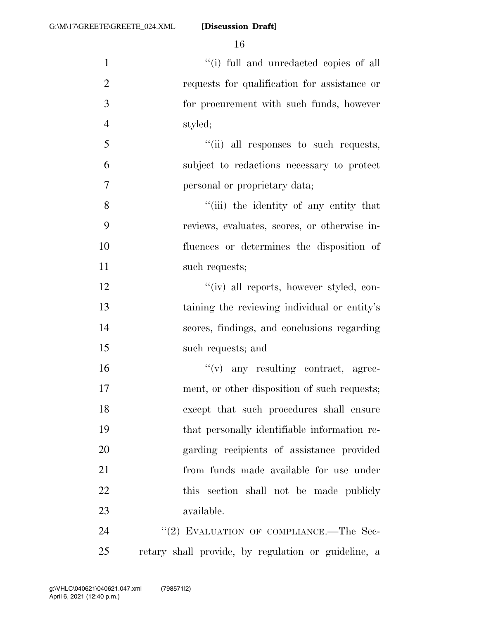| $\mathbf{1}$   | "(i) full and unredacted copies of all              |
|----------------|-----------------------------------------------------|
| $\overline{2}$ | requests for qualification for assistance or        |
| 3              | for procurement with such funds, however            |
| $\overline{4}$ | styled;                                             |
| 5              | "(ii) all responses to such requests,               |
| 6              | subject to redactions necessary to protect          |
| 7              | personal or proprietary data;                       |
| 8              | "(iii) the identity of any entity that              |
| 9              | reviews, evaluates, scores, or otherwise in-        |
| 10             | fluences or determines the disposition of           |
| 11             | such requests;                                      |
| 12             | "(iv) all reports, however styled, con-             |
| 13             | taining the reviewing individual or entity's        |
| 14             | scores, findings, and conclusions regarding         |
| 15             | such requests; and                                  |
| 16             | $f'(v)$ any resulting contract, agree-              |
| 17             | ment, or other disposition of such requests;        |
| 18             | except that such procedures shall ensure            |
| 19             | that personally identifiable information re-        |
| 20             | garding recipients of assistance provided           |
| 21             | from funds made available for use under             |
| 22             | this section shall not be made publicly             |
| 23             | available.                                          |
| 24             | "(2) EVALUATION OF COMPLIANCE.—The Sec-             |
| 25             | retary shall provide, by regulation or guideline, a |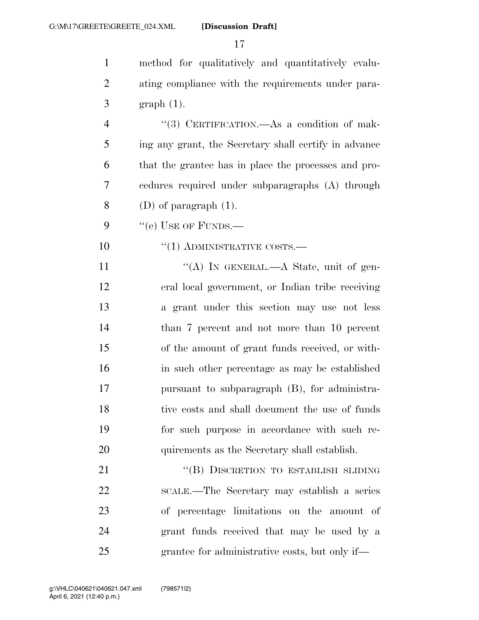method for qualitatively and quantitatively evalu- ating compliance with the requirements under para- graph (1). 4 "(3) CERTIFICATION.—As a condition of mak- ing any grant, the Secretary shall certify in advance that the grantee has in place the processes and pro- cedures required under subparagraphs (A) through 8 (D) of paragraph  $(1)$ . "(e) USE OF FUNDS.— ''(1) ADMINISTRATIVE COSTS.— 11 ""(A) IN GENERAL.—A State, unit of gen- eral local government, or Indian tribe receiving a grant under this section may use not less than 7 percent and not more than 10 percent of the amount of grant funds received, or with- in such other percentage as may be established pursuant to subparagraph (B), for administra- tive costs and shall document the use of funds for such purpose in accordance with such re- quirements as the Secretary shall establish. 21 "(B) DISCRETION TO ESTABLISH SLIDING SCALE.—The Secretary may establish a series of percentage limitations on the amount of grant funds received that may be used by a grantee for administrative costs, but only if—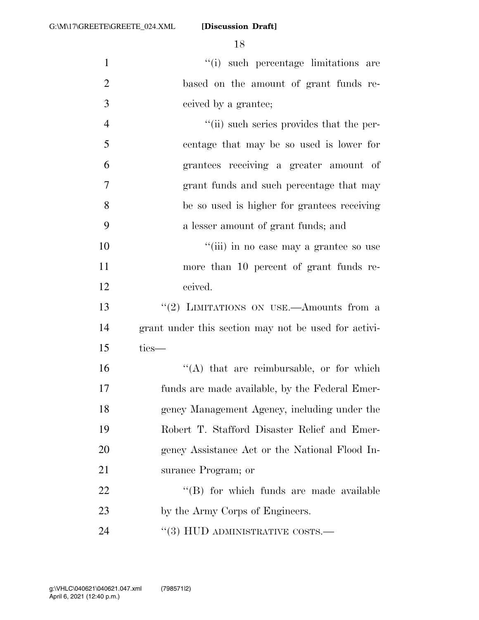| $\mathbf{1}$   | "(i) such percentage limitations are                 |
|----------------|------------------------------------------------------|
| $\overline{2}$ | based on the amount of grant funds re-               |
| 3              | ceived by a grantee;                                 |
| $\overline{4}$ | "(ii) such series provides that the per-             |
| 5              | centage that may be so used is lower for             |
| 6              | grantees receiving a greater amount of               |
| 7              | grant funds and such percentage that may             |
| 8              | be so used is higher for grantees receiving          |
| 9              | a lesser amount of grant funds; and                  |
| 10             | "(iii) in no case may a grantee so use               |
| 11             | more than 10 percent of grant funds re-              |
| 12             | ceived.                                              |
| 13             | "(2) LIMITATIONS ON USE.—Amounts from a              |
| 14             | grant under this section may not be used for activi- |
| 15             | ties-                                                |
| 16             | $\lq\lq$ that are reimbursable, or for which         |
| 17             | funds are made available, by the Federal Emer-       |
| 18             | gency Management Agency, including under the         |
| 19             | Robert T. Stafford Disaster Relief and Emer-         |
| 20             | gency Assistance Act or the National Flood In-       |
| 21             | surance Program; or                                  |
| 22             | "(B) for which funds are made available              |
| 23             | by the Army Corps of Engineers.                      |
| 24             | $\cdot$ (3) HUD ADMINISTRATIVE COSTS.—               |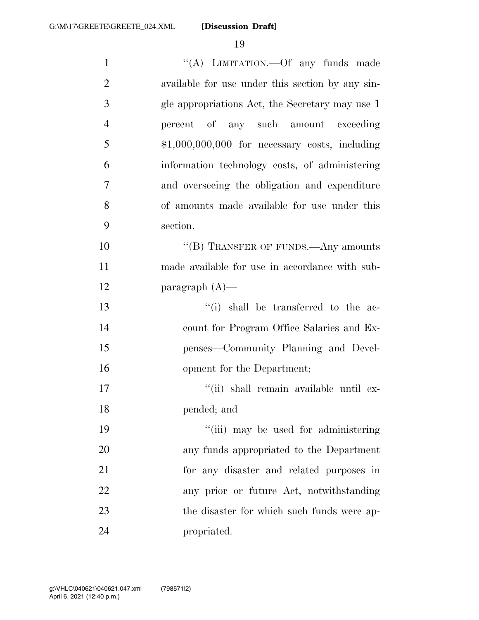| $\mathbf{1}$   | "(A) LIMITATION. - Of any funds made             |
|----------------|--------------------------------------------------|
| $\overline{2}$ | available for use under this section by any sin- |
| 3              | gle appropriations Act, the Secretary may use 1  |
| $\overline{4}$ | percent of any such amount exceeding             |
| 5              | $$1,000,000,000$ for necessary costs, including  |
| 6              | information technology costs, of administering   |
| $\overline{7}$ | and overseeing the obligation and expenditure    |
| 8              | of amounts made available for use under this     |
| 9              | section.                                         |
| 10             | $``$ (B) TRANSFER OF FUNDS.—Any amounts          |
| 11             | made available for use in accordance with sub-   |
| 12             | paragraph $(A)$ —                                |
| 13             | $``(i)$ shall be transferred to the ac-          |
| 14             | count for Program Office Salaries and Ex-        |
| 15             | penses—Community Planning and Devel-             |
| 16             | opment for the Department;                       |
| 17             | "(ii) shall remain available until ex-           |
| 18             | pended; and                                      |
| 19             | "(iii) may be used for administering             |
| 20             | any funds appropriated to the Department         |
| 21             | for any disaster and related purposes in         |
| 22             | any prior or future Act, notwithstanding         |
| 23             | the disaster for which such funds were ap-       |
| 24             | propriated.                                      |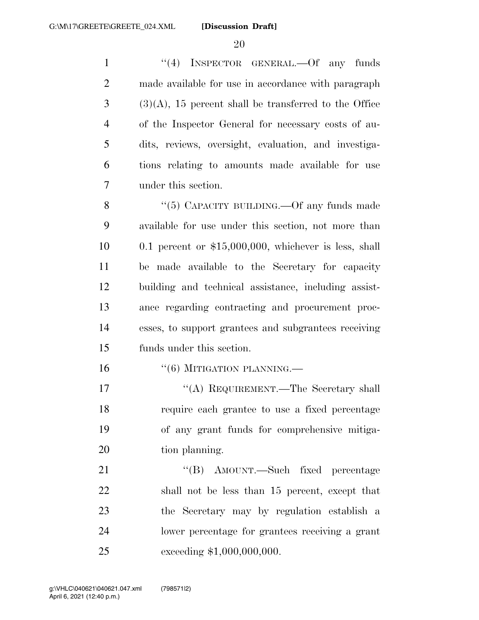1 "(4) INSPECTOR GENERAL. - Of any funds made available for use in accordance with paragraph  $3 \text{ (3)}(A)$ , 15 percent shall be transferred to the Office of the Inspector General for necessary costs of au- dits, reviews, oversight, evaluation, and investiga- tions relating to amounts made available for use under this section.

8 "(5) CAPACITY BUILDING.—Of any funds made available for use under this section, not more than 0.1 percent or \$15,000,000, whichever is less, shall be made available to the Secretary for capacity building and technical assistance, including assist- ance regarding contracting and procurement proc- esses, to support grantees and subgrantees receiving funds under this section.

16 "(6) MITIGATION PLANNING.—

17 ""(A) REQUIREMENT.—The Secretary shall require each grantee to use a fixed percentage of any grant funds for comprehensive mitiga-20 tion planning.

21 ''(B) AMOUNT.—Such fixed percentage shall not be less than 15 percent, except that the Secretary may by regulation establish a lower percentage for grantees receiving a grant exceeding \$1,000,000,000.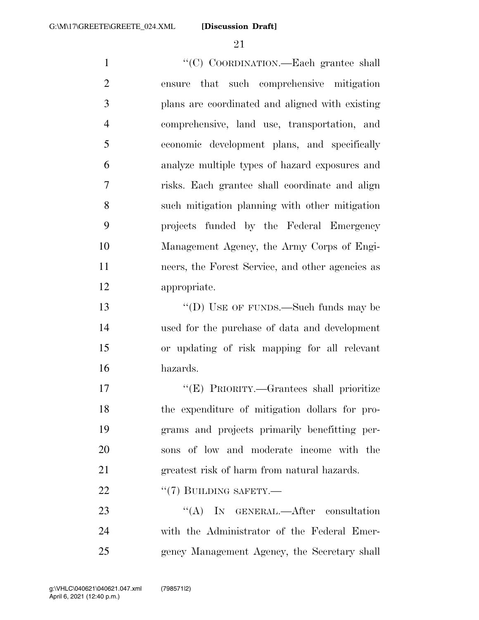''(C) COORDINATION.—Each grantee shall ensure that such comprehensive mitigation plans are coordinated and aligned with existing comprehensive, land use, transportation, and economic development plans, and specifically analyze multiple types of hazard exposures and risks. Each grantee shall coordinate and align such mitigation planning with other mitigation projects funded by the Federal Emergency Management Agency, the Army Corps of Engi- neers, the Forest Service, and other agencies as appropriate. 13 "'(D) USE OF FUNDS.—Such funds may be used for the purchase of data and development or updating of risk mapping for all relevant hazards. ''(E) PRIORITY.—Grantees shall prioritize the expenditure of mitigation dollars for pro-grams and projects primarily benefitting per-

sons of low and moderate income with the

greatest risk of harm from natural hazards.

22 "(7) BUILDING SAFETY.—

23 "(A) IN GENERAL.—After consultation with the Administrator of the Federal Emer-gency Management Agency, the Secretary shall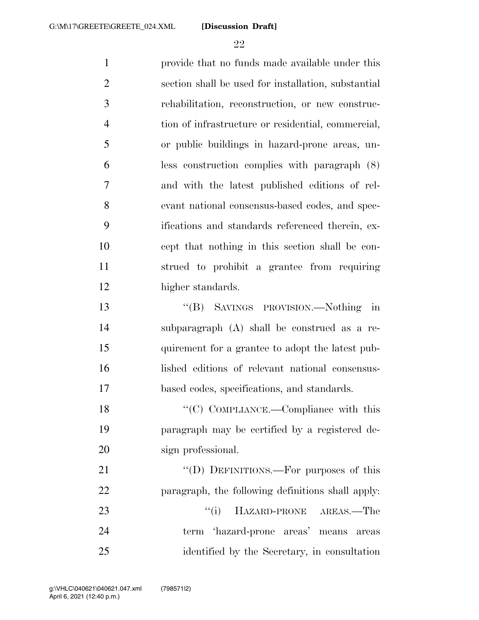provide that no funds made available under this section shall be used for installation, substantial rehabilitation, reconstruction, or new construc- tion of infrastructure or residential, commercial, or public buildings in hazard-prone areas, un- less construction complies with paragraph (8) and with the latest published editions of rel- evant national consensus-based codes, and spec- ifications and standards referenced therein, ex- cept that nothing in this section shall be con- strued to prohibit a grantee from requiring higher standards. ''(B) SAVINGS PROVISION.—Nothing in subparagraph (A) shall be construed as a re- quirement for a grantee to adopt the latest pub- lished editions of relevant national consensus- based codes, specifications, and standards. 18 "'(C) COMPLIANCE.—Compliance with this paragraph may be certified by a registered de- sign professional. 21 "'(D) DEFINITIONS.—For purposes of this paragraph, the following definitions shall apply: 23 ''(i) HAZARD-PRONE AREAS.—The term 'hazard-prone areas' means areas

identified by the Secretary, in consultation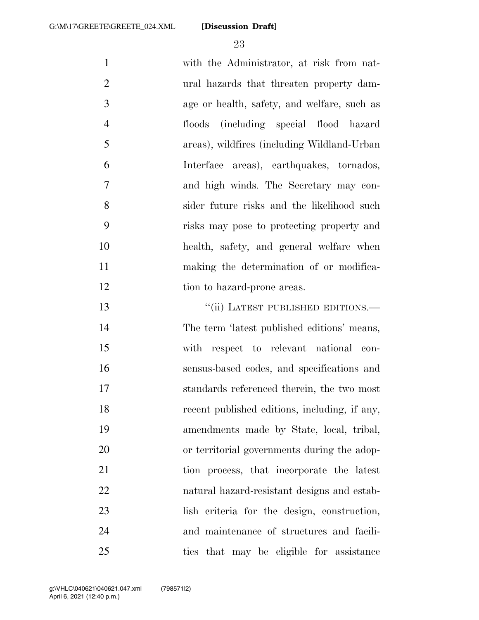with the Administrator, at risk from nat- ural hazards that threaten property dam- age or health, safety, and welfare, such as floods (including special flood hazard areas), wildfires (including Wildland-Urban Interface areas), earthquakes, tornados, and high winds. The Secretary may con- sider future risks and the likelihood such risks may pose to protecting property and health, safety, and general welfare when making the determination of or modifica-12 tion to hazard-prone areas. 13 "(ii) LATEST PUBLISHED EDITIONS.— The term 'latest published editions' means, with respect to relevant national con-sensus-based codes, and specifications and

 standards referenced therein, the two most recent published editions, including, if any, amendments made by State, local, tribal, or territorial governments during the adop- tion process, that incorporate the latest natural hazard-resistant designs and estab- lish criteria for the design, construction, and maintenance of structures and facili-ties that may be eligible for assistance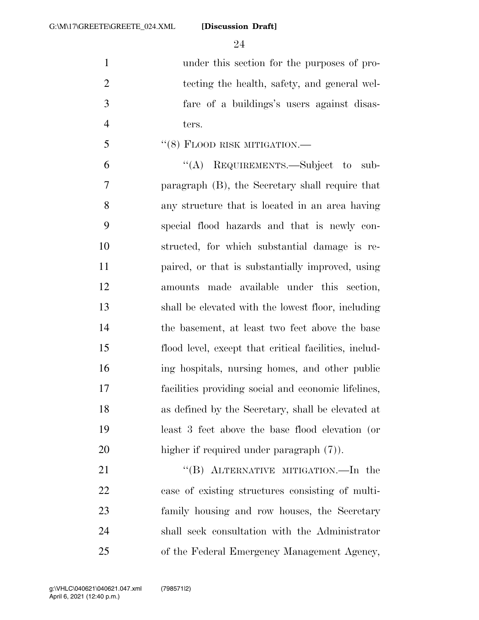under this section for the purposes of pro- tecting the health, safety, and general wel- fare of a buildings's users against disas-ters.

''(8) FLOOD RISK MITIGATION.—

 ''(A) REQUIREMENTS.—Subject to sub- paragraph (B), the Secretary shall require that any structure that is located in an area having special flood hazards and that is newly con- structed, for which substantial damage is re- paired, or that is substantially improved, using amounts made available under this section, shall be elevated with the lowest floor, including the basement, at least two feet above the base flood level, except that critical facilities, includ- ing hospitals, nursing homes, and other public facilities providing social and economic lifelines, as defined by the Secretary, shall be elevated at least 3 feet above the base flood elevation (or higher if required under paragraph (7)).

21 "(B) ALTERNATIVE MITIGATION.—In the case of existing structures consisting of multi- family housing and row houses, the Secretary shall seek consultation with the Administrator of the Federal Emergency Management Agency,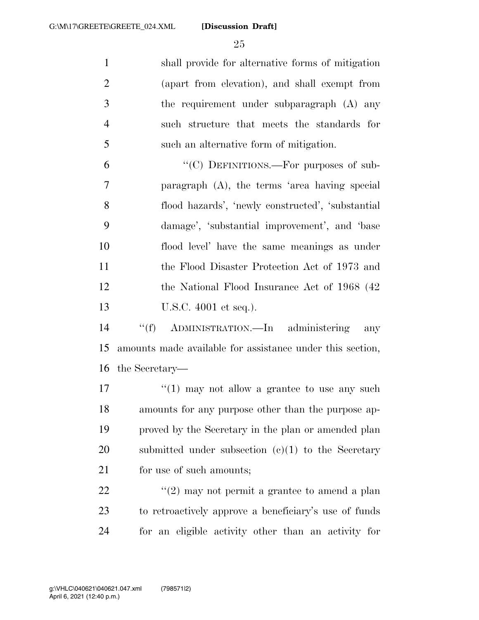shall provide for alternative forms of mitigation (apart from elevation), and shall exempt from the requirement under subparagraph (A) any such structure that meets the standards for such an alternative form of mitigation.

6 "(C) DEFINITIONS.—For purposes of sub- paragraph (A), the terms 'area having special flood hazards', 'newly constructed', 'substantial damage', 'substantial improvement', and 'base flood level' have the same meanings as under the Flood Disaster Protection Act of 1973 and 12 the National Flood Insurance Act of 1968 (42) 13 U.S.C. 4001 et seq.).

 ''(f) ADMINISTRATION.—In administering any amounts made available for assistance under this section, the Secretary—

 $\frac{17}{2}$  ''(1) may not allow a grantee to use any such amounts for any purpose other than the purpose ap- proved by the Secretary in the plan or amended plan submitted under subsection (c)(1) to the Secretary 21 for use of such amounts:

22  $\frac{1}{2}$   $\frac{1}{2}$  may not permit a grantee to amend a plan to retroactively approve a beneficiary's use of funds for an eligible activity other than an activity for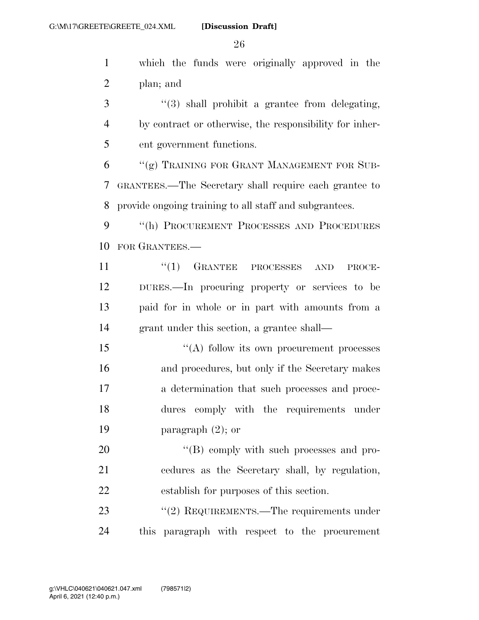which the funds were originally approved in the plan; and

 ''(3) shall prohibit a grantee from delegating, by contract or otherwise, the responsibility for inher-ent government functions.

 "(g) TRAINING FOR GRANT MANAGEMENT FOR SUB- GRANTEES.—The Secretary shall require each grantee to provide ongoing training to all staff and subgrantees.

9 "(h) PROCUREMENT PROCESSES AND PROCEDURES FOR GRANTEES.—

11 "(1) GRANTEE PROCESSES AND PROCE- DURES.—In procuring property or services to be paid for in whole or in part with amounts from a grant under this section, a grantee shall—

15 "(A) follow its own procurement processes and procedures, but only if the Secretary makes a determination that such processes and proce- dures comply with the requirements under paragraph (2); or

20  $\text{``(B) }$  comply with such processes and pro- cedures as the Secretary shall, by regulation, establish for purposes of this section.

23 "(2) REQUIREMENTS.—The requirements under this paragraph with respect to the procurement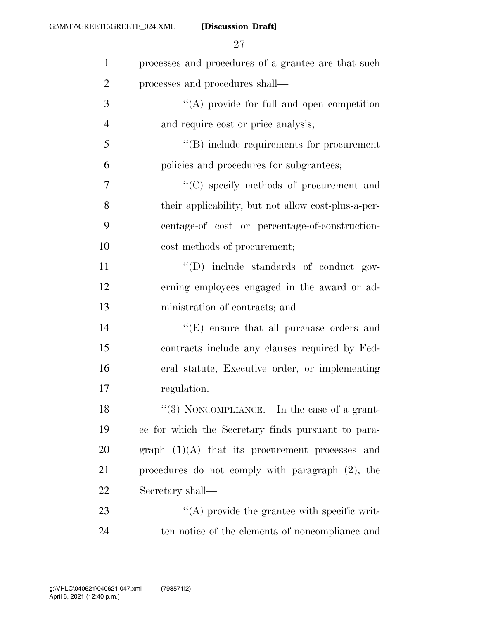| $\mathbf{1}$   | processes and procedures of a grantee are that such |
|----------------|-----------------------------------------------------|
| $\overline{2}$ | processes and procedures shall—                     |
| 3              | $\lq\lq$ provide for full and open competition      |
| $\overline{4}$ | and require cost or price analysis;                 |
| 5              | $\lq\lq$ include requirements for procurement       |
| 6              | policies and procedures for subgrantees;            |
| 7              | "(C) specify methods of procurement and             |
| 8              | their applicability, but not allow cost-plus-a-per- |
| 9              | centage-of cost or percentage-of-construction-      |
| 10             | cost methods of procurement;                        |
| 11             | "(D) include standards of conduct gov-              |
| 12             | erning employees engaged in the award or ad-        |
| 13             | ministration of contracts; and                      |
| 14             | $\lq\lq(E)$ ensure that all purchase orders and     |
| 15             | contracts include any clauses required by Fed-      |
| 16             | eral statute, Executive order, or implementing      |
| 17             | regulation.                                         |
| 18             | "(3) NONCOMPLIANCE.—In the case of a grant-         |
| 19             | ee for which the Secretary finds pursuant to para-  |
| 20             | graph $(1)(A)$ that its procurement processes and   |
| 21             | procedures do not comply with paragraph $(2)$ , the |
| 22             | Secretary shall—                                    |
| 23             | $\lq\lq$ provide the grantee with specific writ-    |
| 24             | ten notice of the elements of noncompliance and     |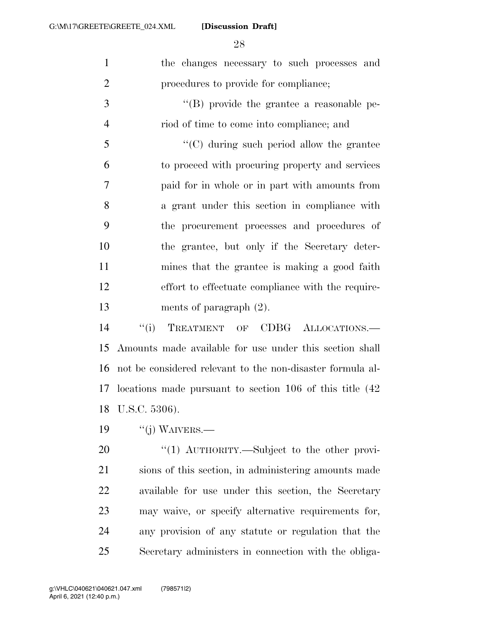| $\mathbf{1}$   | the changes necessary to such processes and                  |
|----------------|--------------------------------------------------------------|
| $\mathbf{2}$   | procedures to provide for compliance;                        |
| $\mathfrak{Z}$ | $\lq\lq$ (B) provide the grantee a reasonable pe-            |
| $\overline{4}$ | riod of time to come into compliance; and                    |
| 5              | $\cdot$ (C) during such period allow the grantee             |
| 6              | to proceed with procuring property and services              |
| $\tau$         | paid for in whole or in part with amounts from               |
| 8              | a grant under this section in compliance with                |
| 9              | the procurement processes and procedures of                  |
| 10             | the grantee, but only if the Secretary deter-                |
| 11             | mines that the grantee is making a good faith                |
| 12             | effort to effectuate compliance with the require-            |
| 13             | ments of paragraph $(2)$ .                                   |
| 14             | "(i) TREATMENT OF CDBG ALLOCATIONS.—                         |
| 15             | Amounts made available for use under this section shall      |
| 16             | not be considered relevant to the non-disaster formula al-   |
|                | 17 locations made pursuant to section 106 of this title (42) |
| 18             | U.S.C. 5306).                                                |
| 19             | $``(j)$ WAIVERS.—                                            |
| 20             | "(1) $\text{AUTHORITY.}$ Subject to the other provi-         |
| 21             | sions of this section, in administering amounts made         |
| 22             | available for use under this section, the Secretary          |
| 23             | may waive, or specify alternative requirements for,          |

any provision of any statute or regulation that the

Secretary administers in connection with the obliga-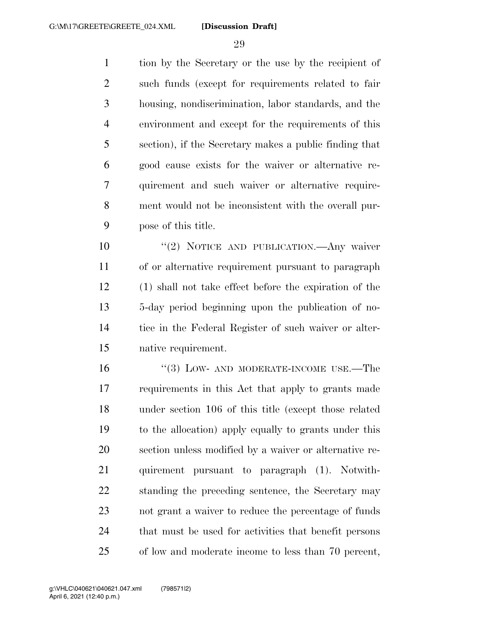tion by the Secretary or the use by the recipient of such funds (except for requirements related to fair housing, nondiscrimination, labor standards, and the environment and except for the requirements of this section), if the Secretary makes a public finding that good cause exists for the waiver or alternative re- quirement and such waiver or alternative require- ment would not be inconsistent with the overall pur-pose of this title.

10 "(2) NOTICE AND PUBLICATION.—Any waiver of or alternative requirement pursuant to paragraph (1) shall not take effect before the expiration of the 5-day period beginning upon the publication of no- tice in the Federal Register of such waiver or alter-native requirement.

16 "(3) LOW- AND MODERATE-INCOME USE.—The requirements in this Act that apply to grants made under section 106 of this title (except those related to the allocation) apply equally to grants under this section unless modified by a waiver or alternative re- quirement pursuant to paragraph (1). Notwith- standing the preceding sentence, the Secretary may not grant a waiver to reduce the percentage of funds that must be used for activities that benefit persons of low and moderate income to less than 70 percent,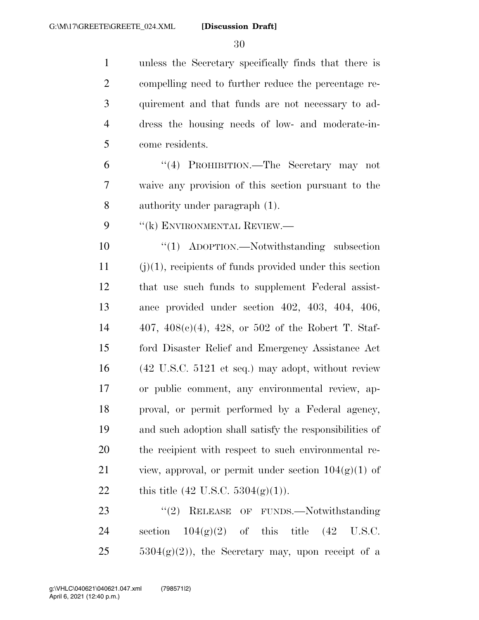unless the Secretary specifically finds that there is compelling need to further reduce the percentage re- quirement and that funds are not necessary to ad- dress the housing needs of low- and moderate-in-come residents.

 ''(4) PROHIBITION.—The Secretary may not waive any provision of this section pursuant to the authority under paragraph (1).

9 "(k) ENVIRONMENTAL REVIEW.—

 ''(1) ADOPTION.—Notwithstanding subsection (j)(1), recipients of funds provided under this section that use such funds to supplement Federal assist- ance provided under section 402, 403, 404, 406, 407, 408(c)(4), 428, or 502 of the Robert T. Staf- ford Disaster Relief and Emergency Assistance Act (42 U.S.C. 5121 et seq.) may adopt, without review or public comment, any environmental review, ap- proval, or permit performed by a Federal agency, and such adoption shall satisfy the responsibilities of the recipient with respect to such environmental re-21 view, approval, or permit under section  $104(g)(1)$  of 22 this title  $(42 \text{ U.S.C. } 5304(g)(1)).$ 

23 "(2) RELEASE OF FUNDS.—Notwithstanding 24 section  $104(g)(2)$  of this title  $(42 \text{ U.S.C.})$  $5304(g)(2)$ , the Secretary may, upon receipt of a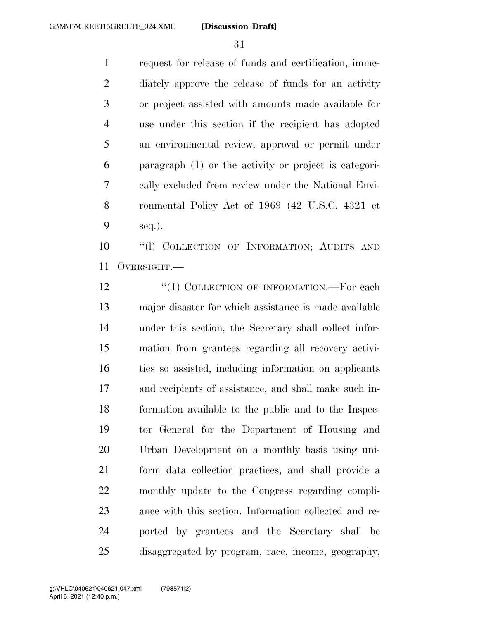request for release of funds and certification, imme- diately approve the release of funds for an activity or project assisted with amounts made available for use under this section if the recipient has adopted an environmental review, approval or permit under paragraph (1) or the activity or project is categori- cally excluded from review under the National Envi- ronmental Policy Act of 1969 (42 U.S.C. 4321 et seq.).

 ''(l) COLLECTION OF INFORMATION; AUDITS AND OVERSIGHT.—

12 "(1) COLLECTION OF INFORMATION.—For each major disaster for which assistance is made available under this section, the Secretary shall collect infor- mation from grantees regarding all recovery activi- ties so assisted, including information on applicants and recipients of assistance, and shall make such in- formation available to the public and to the Inspec- tor General for the Department of Housing and Urban Development on a monthly basis using uni- form data collection practices, and shall provide a monthly update to the Congress regarding compli- ance with this section. Information collected and re- ported by grantees and the Secretary shall be disaggregated by program, race, income, geography,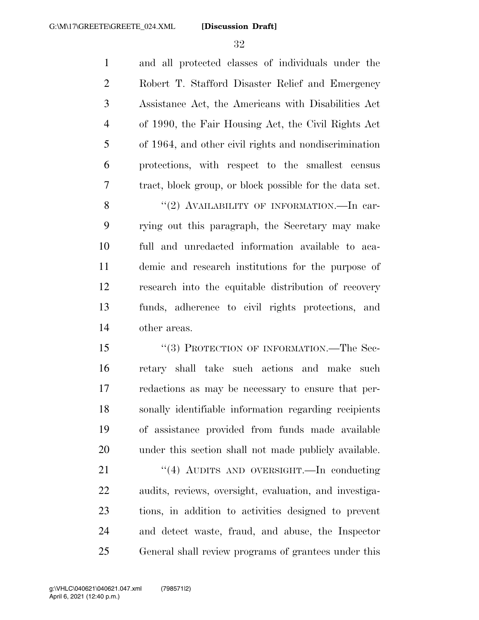and all protected classes of individuals under the Robert T. Stafford Disaster Relief and Emergency Assistance Act, the Americans with Disabilities Act of 1990, the Fair Housing Act, the Civil Rights Act of 1964, and other civil rights and nondiscrimination protections, with respect to the smallest census tract, block group, or block possible for the data set. 8 "(2) AVAILABILITY OF INFORMATION.—In car-

 rying out this paragraph, the Secretary may make full and unredacted information available to aca- demic and research institutions for the purpose of research into the equitable distribution of recovery funds, adherence to civil rights protections, and other areas.

15 "(3) PROTECTION OF INFORMATION.—The Sec- retary shall take such actions and make such redactions as may be necessary to ensure that per- sonally identifiable information regarding recipients of assistance provided from funds made available under this section shall not made publicly available.

21 "(4) AUDITS AND OVERSIGHT.—In conducting audits, reviews, oversight, evaluation, and investiga- tions, in addition to activities designed to prevent and detect waste, fraud, and abuse, the Inspector General shall review programs of grantees under this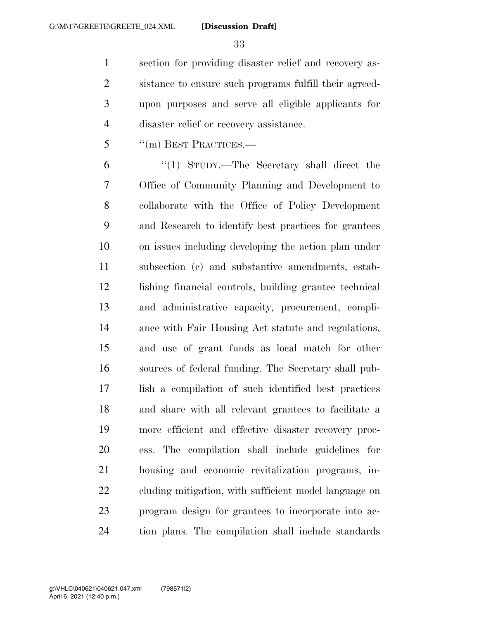section for providing disaster relief and recovery as- sistance to ensure such programs fulfill their agreed- upon purposes and serve all eligible applicants for disaster relief or recovery assistance.

''(m) BEST PRACTICES.—

 ''(1) STUDY.—The Secretary shall direct the Office of Community Planning and Development to collaborate with the Office of Policy Development and Research to identify best practices for grantees on issues including developing the action plan under subsection (c) and substantive amendments, estab- lishing financial controls, building grantee technical and administrative capacity, procurement, compli- ance with Fair Housing Act statute and regulations, and use of grant funds as local match for other sources of federal funding. The Secretary shall pub- lish a compilation of such identified best practices and share with all relevant grantees to facilitate a more efficient and effective disaster recovery proc- ess. The compilation shall include guidelines for housing and economic revitalization programs, in- cluding mitigation, with sufficient model language on program design for grantees to incorporate into ac-tion plans. The compilation shall include standards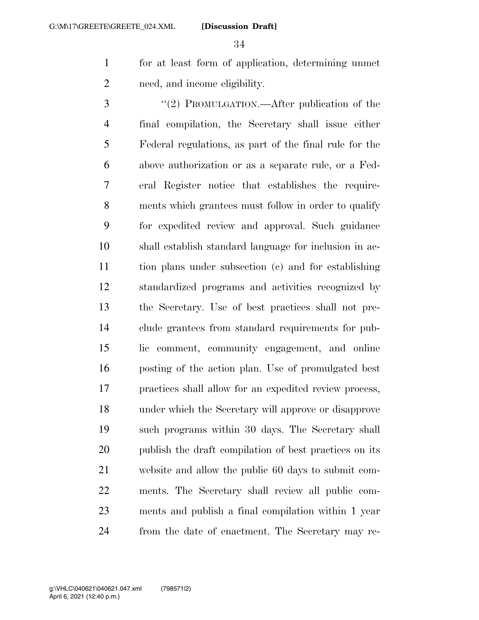for at least form of application, determining unmet need, and income eligibility.

3 "(2) PROMULGATION.—After publication of the final compilation, the Secretary shall issue either Federal regulations, as part of the final rule for the above authorization or as a separate rule, or a Fed- eral Register notice that establishes the require- ments which grantees must follow in order to qualify for expedited review and approval. Such guidance shall establish standard language for inclusion in ac- tion plans under subsection (c) and for establishing standardized programs and activities recognized by the Secretary. Use of best practices shall not pre- clude grantees from standard requirements for pub- lic comment, community engagement, and online posting of the action plan. Use of promulgated best practices shall allow for an expedited review process, under which the Secretary will approve or disapprove such programs within 30 days. The Secretary shall publish the draft compilation of best practices on its website and allow the public 60 days to submit com- ments. The Secretary shall review all public com- ments and publish a final compilation within 1 year from the date of enactment. The Secretary may re-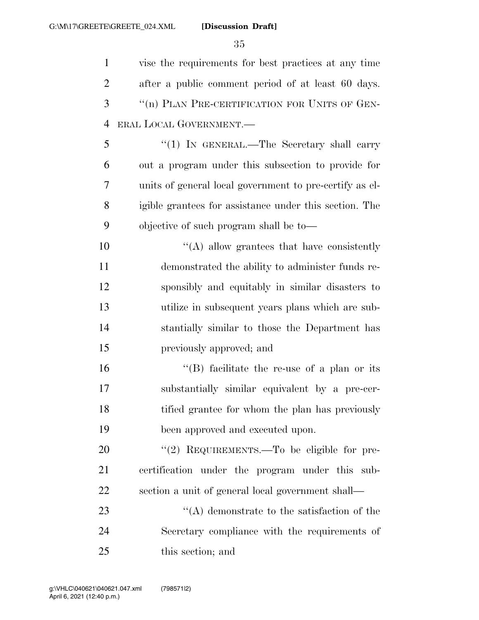vise the requirements for best practices at any time after a public comment period of at least 60 days. ''(n) PLAN PRE-CERTIFICATION FOR UNITS OF GEN- ERAL LOCAL GOVERNMENT.— ''(1) IN GENERAL.—The Secretary shall carry out a program under this subsection to provide for

 units of general local government to pre-certify as el- igible grantees for assistance under this section. The objective of such program shall be to—

 $\langle (A)$  allow grantees that have consistently demonstrated the ability to administer funds re- sponsibly and equitably in similar disasters to utilize in subsequent years plans which are sub- stantially similar to those the Department has previously approved; and

 ''(B) facilitate the re-use of a plan or its substantially similar equivalent by a pre-cer- tified grantee for whom the plan has previously been approved and executed upon.

20 "(2) REQUIREMENTS.—To be eligible for pre- certification under the program under this sub-section a unit of general local government shall—

23  $\langle (A)$  demonstrate to the satisfaction of the Secretary compliance with the requirements of this section; and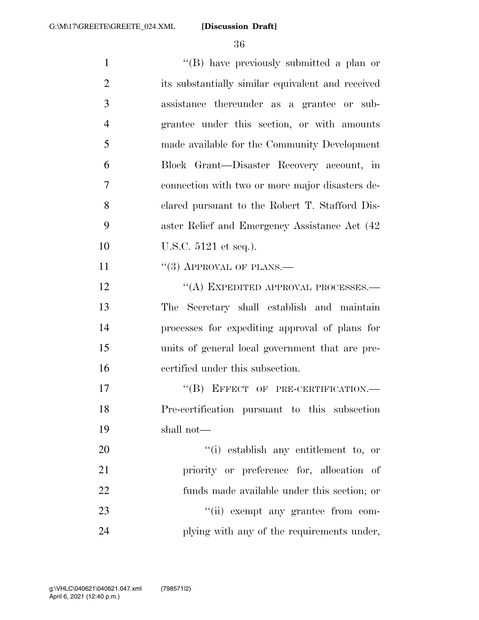| $\mathbf{1}$   | "(B) have previously submitted a plan or          |
|----------------|---------------------------------------------------|
| $\overline{2}$ | its substantially similar equivalent and received |
| 3              | assistance thereunder as a grantee or sub-        |
| $\overline{4}$ | grantee under this section, or with amounts       |
| 5              | made available for the Community Development      |
| 6              | Block Grant—Disaster Recovery account, in         |
| 7              | connection with two or more major disasters de-   |
| 8              | clared pursuant to the Robert T. Stafford Dis-    |
| 9              | aster Relief and Emergency Assistance Act (42)    |
| 10             | U.S.C. 5121 et seq.).                             |
| 11             | $\cdot\cdot$ (3) APPROVAL OF PLANS.—              |
| 12             | "(A) EXPEDITED APPROVAL PROCESSES.—               |
| 13             | The Secretary shall establish and maintain        |
| 14             | processes for expediting approval of plans for    |
| 15             | units of general local government that are pre-   |
| 16             | certified under this subsection.                  |
| 17             | "(B) EFFECT OF PRE-CERTIFICATION.-                |
| 18             | Pre-certification pursuant to this subsection     |
| 19             | shall not—                                        |
| 20             | "(i) establish any entitlement to, or             |
| 21             | priority or preference for, allocation of         |
| 22             | funds made available under this section; or       |
| 23             | "(ii) exempt any grantee from com-                |
| 24             | plying with any of the requirements under,        |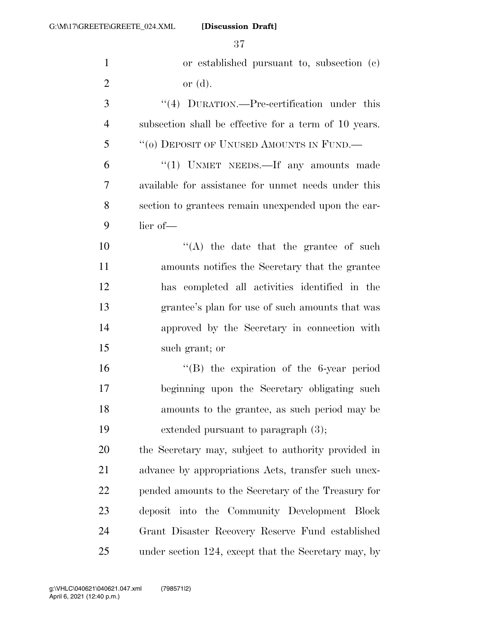| $\mathbf{1}$   | or established pursuant to, subsection (c)            |
|----------------|-------------------------------------------------------|
| $\overline{2}$ | or $(d)$ .                                            |
| 3              | $\lq(4)$ DURATION.—Pre-certification under this       |
| $\overline{4}$ | subsection shall be effective for a term of 10 years. |
| 5              | "(0) DEPOSIT OF UNUSED AMOUNTS IN FUND.—              |
| 6              | "(1) UNMET NEEDS.—If any amounts made                 |
| 7              | available for assistance for unmet needs under this   |
| 8              | section to grantees remain unexpended upon the ear-   |
| 9              | lier of-                                              |
| 10             | "(A) the date that the grantee of such                |
| 11             | amounts notifies the Secretary that the grantee       |
| 12             | has completed all activities identified in the        |
| 13             | grantee's plan for use of such amounts that was       |
| 14             | approved by the Secretary in connection with          |
| 15             | such grant; or                                        |
| 16             | $\lq\lq$ the expiration of the 6-year period          |
| 17             | beginning upon the Secretary obligating such          |
| 18             | amounts to the grantee, as such period may be         |
| 19             | extended pursuant to paragraph $(3)$ ;                |
| 20             | the Secretary may, subject to authority provided in   |
| 21             | advance by appropriations Acts, transfer such unex-   |
| 22             | pended amounts to the Secretary of the Treasury for   |
| 23             | deposit into the Community Development Block          |
| 24             | Grant Disaster Recovery Reserve Fund established      |
| 25             | under section 124, except that the Secretary may, by  |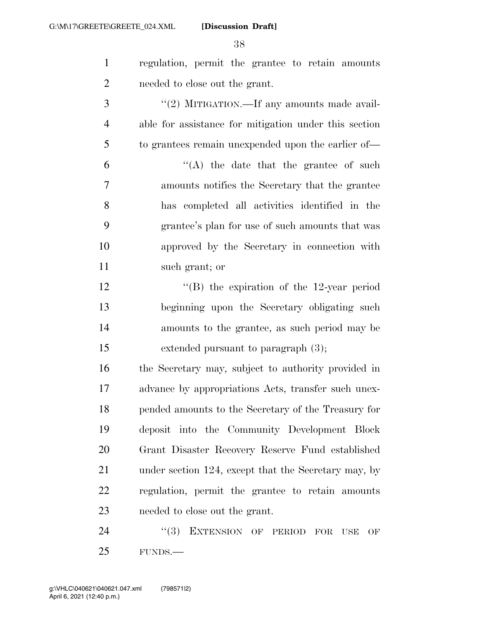- regulation, permit the grantee to retain amounts needed to close out the grant.
- 3  $\frac{4}{2}$  MITIGATION.—If any amounts made avail- able for assistance for mitigation under this section to grantees remain unexpended upon the earlier of—
- $(6)$   $(4)$  the date that the grantee of such amounts notifies the Secretary that the grantee has completed all activities identified in the grantee's plan for use of such amounts that was approved by the Secretary in connection with such grant; or
- 12 "(B) the expiration of the 12-year period beginning upon the Secretary obligating such amounts to the grantee, as such period may be extended pursuant to paragraph (3);

 the Secretary may, subject to authority provided in advance by appropriations Acts, transfer such unex- pended amounts to the Secretary of the Treasury for deposit into the Community Development Block Grant Disaster Recovery Reserve Fund established 21 under section 124, except that the Secretary may, by regulation, permit the grantee to retain amounts needed to close out the grant.

24 "(3) EXTENSION OF PERIOD FOR USE OF FUNDS.—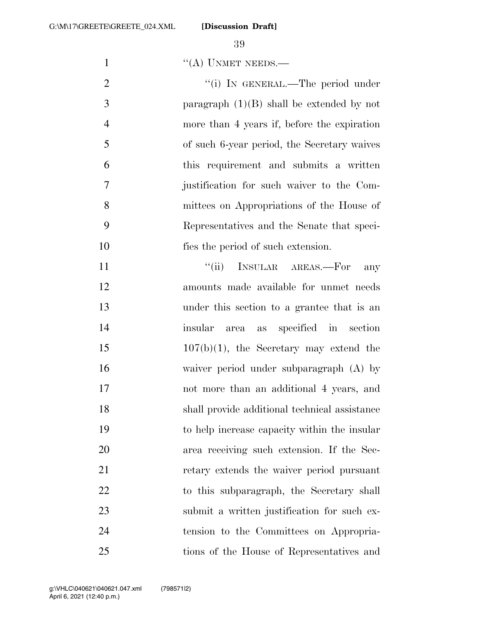1 ''(A) UNMET NEEDS.—

2 "(i) IN GENERAL.—The period under paragraph (1)(B) shall be extended by not more than 4 years if, before the expiration of such 6-year period, the Secretary waives this requirement and submits a written justification for such waiver to the Com- mittees on Appropriations of the House of Representatives and the Senate that speci-fies the period of such extension.

 $"$ (ii) INSULAR AREAS.—For any amounts made available for unmet needs under this section to a grantee that is an insular area as specified in section 15 107(b)(1), the Secretary may extend the waiver period under subparagraph (A) by not more than an additional 4 years, and shall provide additional technical assistance to help increase capacity within the insular area receiving such extension. If the Sec- retary extends the waiver period pursuant 22 to this subparagraph, the Secretary shall submit a written justification for such ex- tension to the Committees on Appropria-tions of the House of Representatives and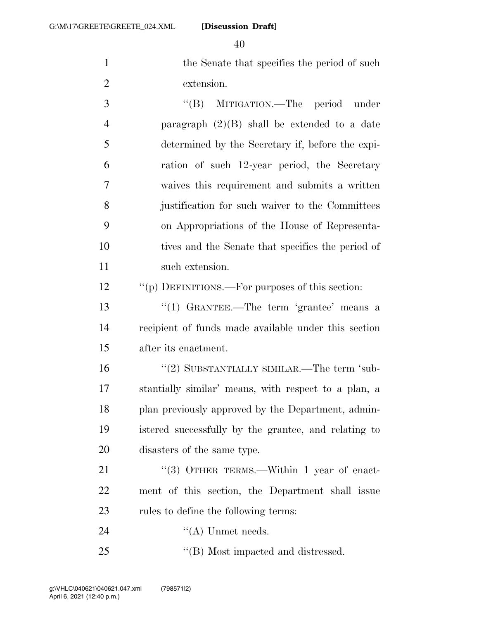40

1 the Senate that specifies the period of such 1 2 extension.

3 ''(B) MITIGATION.—The period under paragraph (2)(B) shall be extended to a date determined by the Secretary if, before the expi- ration of such 12-year period, the Secretary waives this requirement and submits a written justification for such waiver to the Committees on Appropriations of the House of Representa- tives and the Senate that specifies the period of 11 such extension.

12 ""(p) DEFINITIONS.—For purposes of this section:

13 ''(1) GRANTEE.—The term 'grantee' means a 14 recipient of funds made available under this section 15 after its enactment.

 ''(2) SUBSTANTIALLY SIMILAR.—The term 'sub- stantially similar' means, with respect to a plan, a 18 plan previously approved by the Department, admin- istered successfully by the grantee, and relating to disasters of the same type.

21 "(3) OTHER TERMS.—Within 1 year of enact-22 ment of this section, the Department shall issue 23 rules to define the following terms:

24 ''(A) Unmet needs.

25 ''(B) Most impacted and distressed.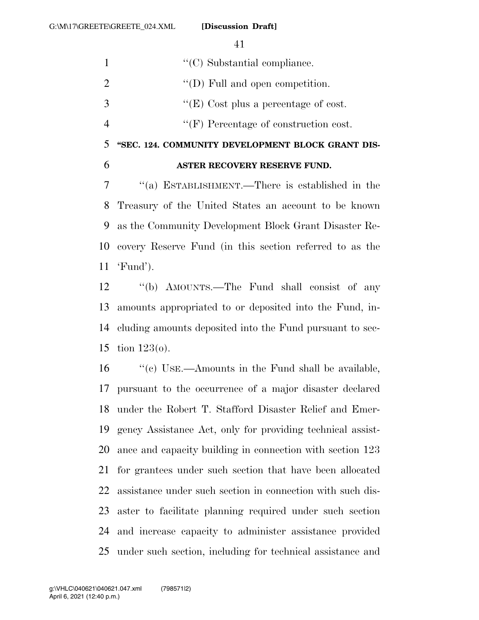| $\overline{\mathcal{L}}$ | "SEC. 124. COMMUNITY DEVELOPMENT BLOCK GRANT DIS- |
|--------------------------|---------------------------------------------------|
| $\overline{4}$           | $\lq\lq(F)$ Percentage of construction cost.      |
| 3                        | "(E) Cost plus a percentage of cost.              |
| 2                        | $\lq\lq$ (D) Full and open competition.           |
| $\mathbf{1}$             | $\lq\lq$ C) Substantial compliance.               |

#### **ASTER RECOVERY RESERVE FUND.**

 ''(a) ESTABLISHMENT.—There is established in the Treasury of the United States an account to be known as the Community Development Block Grant Disaster Re- covery Reserve Fund (in this section referred to as the 'Fund').

 ''(b) AMOUNTS.—The Fund shall consist of any amounts appropriated to or deposited into the Fund, in- cluding amounts deposited into the Fund pursuant to sec-tion 123(o).

16 "'(c) USE.—Amounts in the Fund shall be available, pursuant to the occurrence of a major disaster declared under the Robert T. Stafford Disaster Relief and Emer- gency Assistance Act, only for providing technical assist- ance and capacity building in connection with section 123 for grantees under such section that have been allocated assistance under such section in connection with such dis- aster to facilitate planning required under such section and increase capacity to administer assistance provided under such section, including for technical assistance and